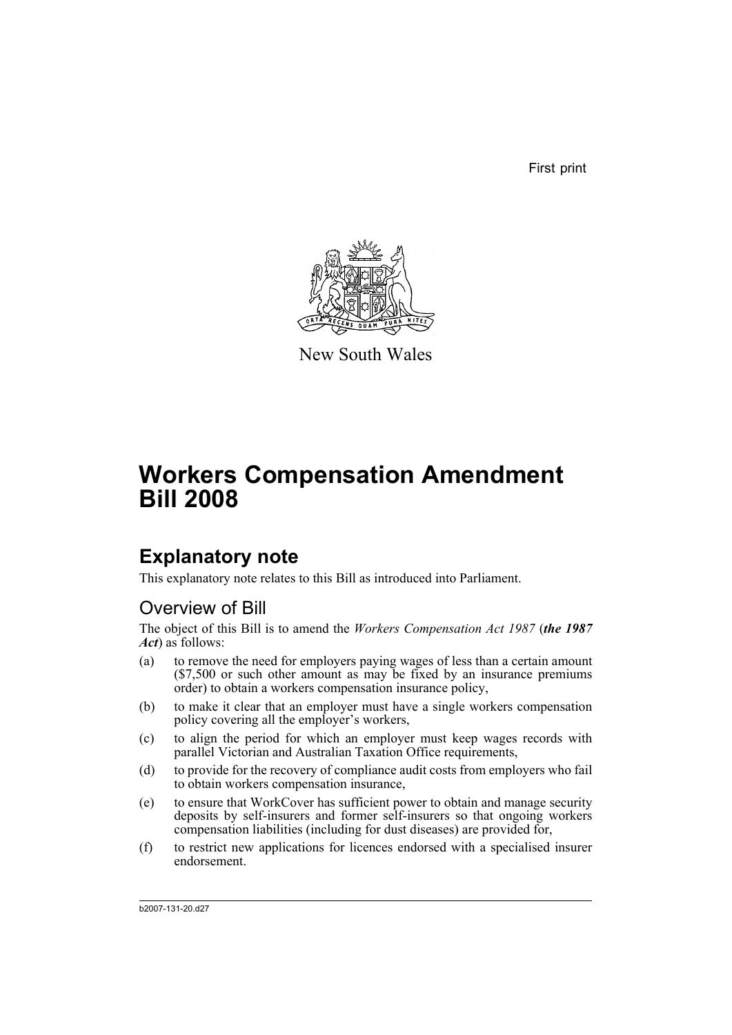First print



New South Wales

# **Workers Compensation Amendment Bill 2008**

# **Explanatory note**

This explanatory note relates to this Bill as introduced into Parliament.

# Overview of Bill

The object of this Bill is to amend the *Workers Compensation Act 1987* (*the 1987 Act*) as follows:

- (a) to remove the need for employers paying wages of less than a certain amount (\$7,500 or such other amount as may be fixed by an insurance premiums order) to obtain a workers compensation insurance policy,
- (b) to make it clear that an employer must have a single workers compensation policy covering all the employer's workers,
- (c) to align the period for which an employer must keep wages records with parallel Victorian and Australian Taxation Office requirements,
- (d) to provide for the recovery of compliance audit costs from employers who fail to obtain workers compensation insurance,
- (e) to ensure that WorkCover has sufficient power to obtain and manage security deposits by self-insurers and former self-insurers so that ongoing workers compensation liabilities (including for dust diseases) are provided for,
- (f) to restrict new applications for licences endorsed with a specialised insurer endorsement.

b2007-131-20.d27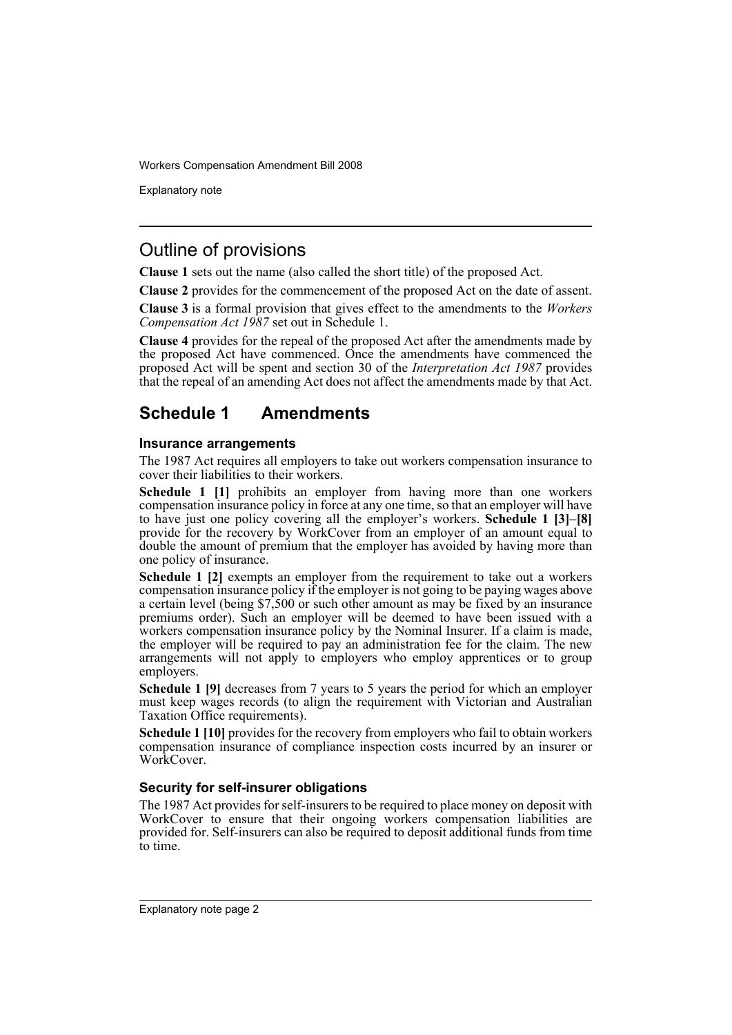Explanatory note

## Outline of provisions

**Clause 1** sets out the name (also called the short title) of the proposed Act.

**Clause 2** provides for the commencement of the proposed Act on the date of assent.

**Clause 3** is a formal provision that gives effect to the amendments to the *Workers Compensation Act 1987* set out in Schedule 1.

**Clause 4** provides for the repeal of the proposed Act after the amendments made by the proposed Act have commenced. Once the amendments have commenced the proposed Act will be spent and section 30 of the *Interpretation Act 1987* provides that the repeal of an amending Act does not affect the amendments made by that Act.

## **Schedule 1 Amendments**

### **Insurance arrangements**

The 1987 Act requires all employers to take out workers compensation insurance to cover their liabilities to their workers.

**Schedule 1 [1]** prohibits an employer from having more than one workers compensation insurance policy in force at any one time, so that an employer will have to have just one policy covering all the employer's workers. **Schedule 1 [3]–[8]** provide for the recovery by WorkCover from an employer of an amount equal to double the amount of premium that the employer has avoided by having more than one policy of insurance.

**Schedule 1 [2]** exempts an employer from the requirement to take out a workers compensation insurance policy if the employer is not going to be paying wages above a certain level (being \$7,500 or such other amount as may be fixed by an insurance premiums order). Such an employer will be deemed to have been issued with a workers compensation insurance policy by the Nominal Insurer. If a claim is made, the employer will be required to pay an administration fee for the claim. The new arrangements will not apply to employers who employ apprentices or to group employers.

**Schedule 1 [9]** decreases from 7 years to 5 years the period for which an employer must keep wages records (to align the requirement with Victorian and Australian Taxation Office requirements).

**Schedule 1 [10]** provides for the recovery from employers who fail to obtain workers compensation insurance of compliance inspection costs incurred by an insurer or WorkCover.

### **Security for self-insurer obligations**

The 1987 Act provides for self-insurers to be required to place money on deposit with WorkCover to ensure that their ongoing workers compensation liabilities are provided for. Self-insurers can also be required to deposit additional funds from time to time.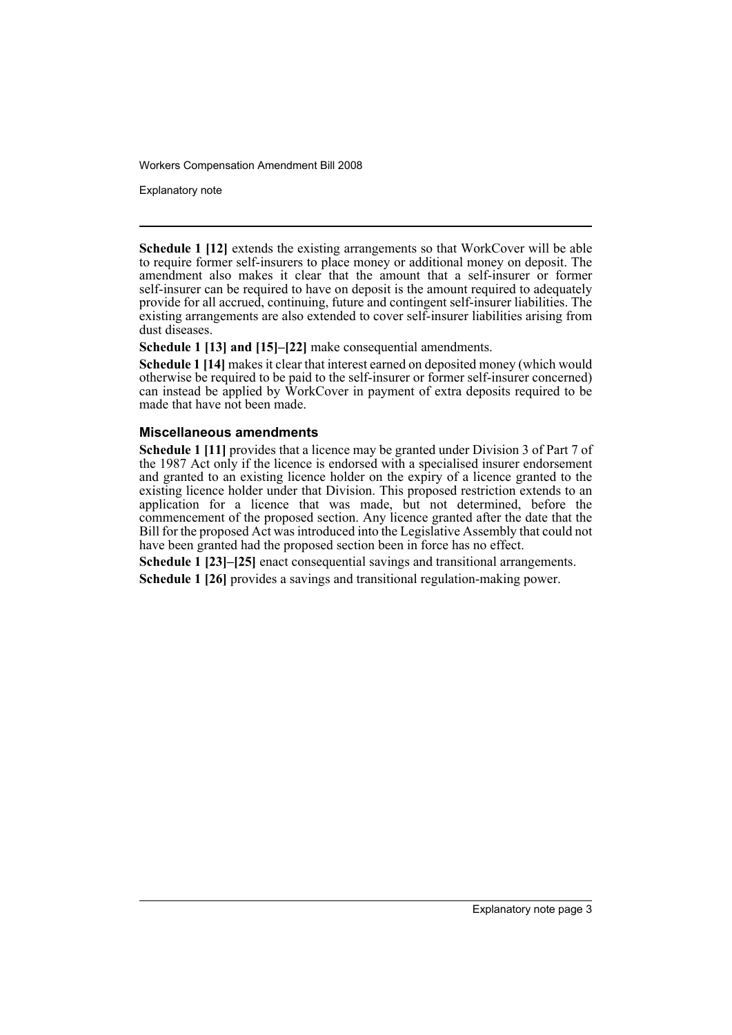Explanatory note

**Schedule 1 [12]** extends the existing arrangements so that WorkCover will be able to require former self-insurers to place money or additional money on deposit. The amendment also makes it clear that the amount that a self-insurer or former self-insurer can be required to have on deposit is the amount required to adequately provide for all accrued, continuing, future and contingent self-insurer liabilities. The existing arrangements are also extended to cover self-insurer liabilities arising from dust diseases.

**Schedule 1 [13] and [15]–[22]** make consequential amendments.

**Schedule 1 [14]** makes it clear that interest earned on deposited money (which would otherwise be required to be paid to the self-insurer or former self-insurer concerned) can instead be applied by WorkCover in payment of extra deposits required to be made that have not been made.

### **Miscellaneous amendments**

**Schedule 1 [11]** provides that a licence may be granted under Division 3 of Part 7 of the 1987 Act only if the licence is endorsed with a specialised insurer endorsement and granted to an existing licence holder on the expiry of a licence granted to the existing licence holder under that Division. This proposed restriction extends to an application for a licence that was made, but not determined, before the commencement of the proposed section. Any licence granted after the date that the Bill for the proposed Act was introduced into the Legislative Assembly that could not have been granted had the proposed section been in force has no effect.

**Schedule 1 [23]–[25]** enact consequential savings and transitional arrangements. **Schedule 1 [26]** provides a savings and transitional regulation-making power.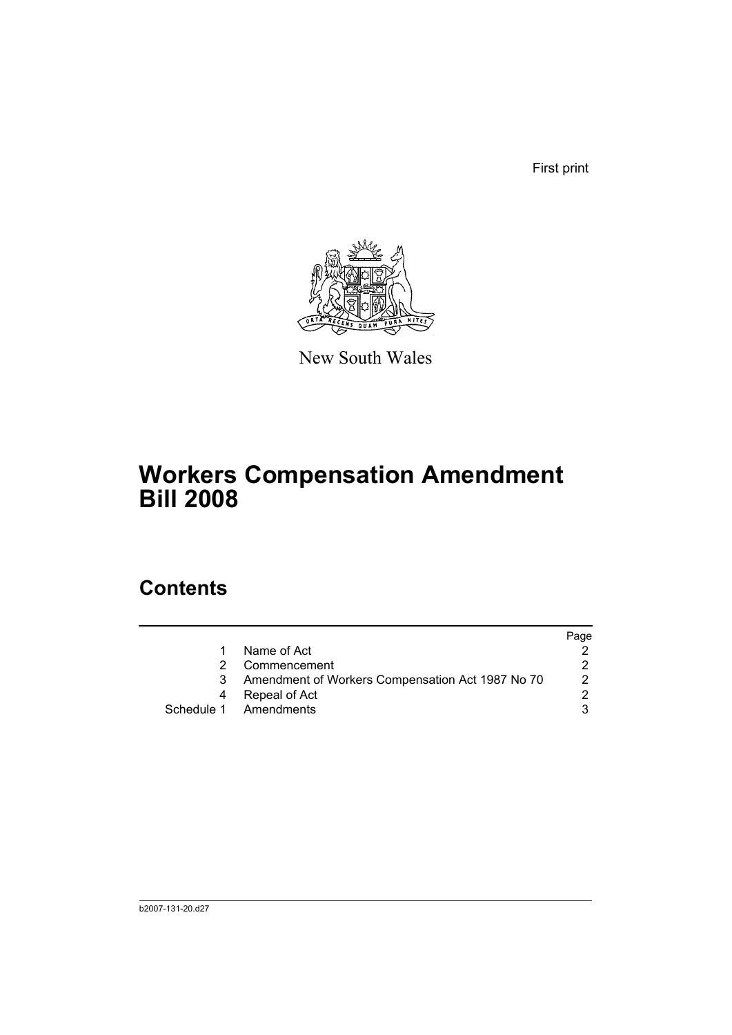First print



New South Wales

# **Workers Compensation Amendment Bill 2008**

# **Contents**

|   |                                                  | Page |
|---|--------------------------------------------------|------|
| 1 | Name of Act                                      |      |
|   | Commencement                                     |      |
| 3 | Amendment of Workers Compensation Act 1987 No 70 | 2    |
|   | Repeal of Act                                    |      |
|   | Schedule 1 Amendments                            |      |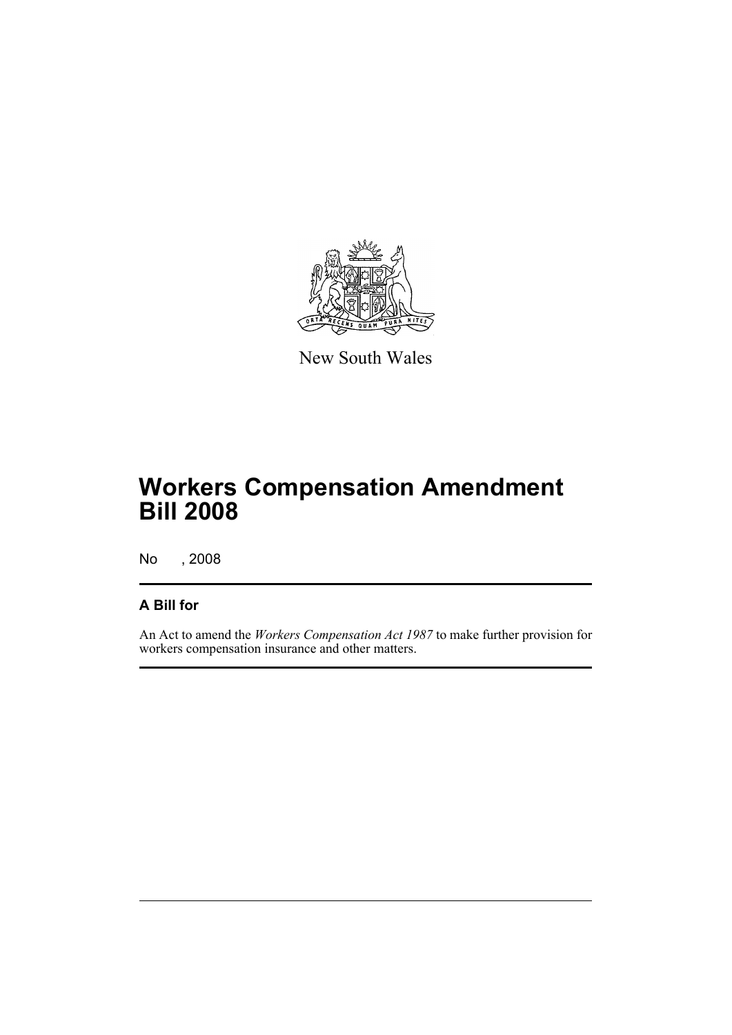

New South Wales

# **Workers Compensation Amendment Bill 2008**

No , 2008

## **A Bill for**

An Act to amend the *Workers Compensation Act 1987* to make further provision for workers compensation insurance and other matters.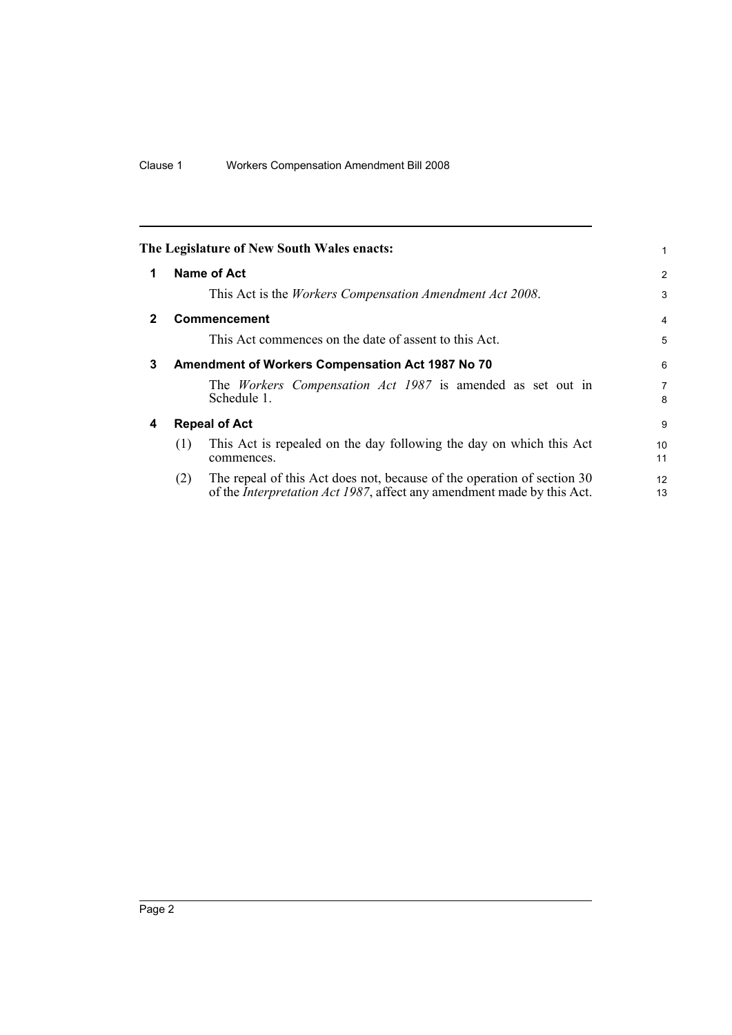<span id="page-7-3"></span><span id="page-7-2"></span><span id="page-7-1"></span><span id="page-7-0"></span>

|              | The Legislature of New South Wales enacts:                                                                                                                       | 1                   |  |
|--------------|------------------------------------------------------------------------------------------------------------------------------------------------------------------|---------------------|--|
| 1            | Name of Act                                                                                                                                                      | $\overline{2}$      |  |
|              | This Act is the <i>Workers Compensation Amendment Act 2008</i> .                                                                                                 | 3                   |  |
| $\mathbf{2}$ | <b>Commencement</b>                                                                                                                                              | $\overline{4}$      |  |
|              | This Act commences on the date of assent to this Act.                                                                                                            | 5                   |  |
| 3            | Amendment of Workers Compensation Act 1987 No 70                                                                                                                 |                     |  |
|              | The <i>Workers</i> Compensation Act 1987 is amended as set out in<br>Schedule 1.                                                                                 | $\overline{7}$<br>8 |  |
| 4            | <b>Repeal of Act</b>                                                                                                                                             |                     |  |
|              | This Act is repealed on the day following the day on which this Act<br>(1)<br>commences.                                                                         | 10<br>11            |  |
|              | The repeal of this Act does not, because of the operation of section 30<br>(2)<br>of the <i>Interpretation Act 1987</i> , affect any amendment made by this Act. | 12<br>13            |  |
|              |                                                                                                                                                                  |                     |  |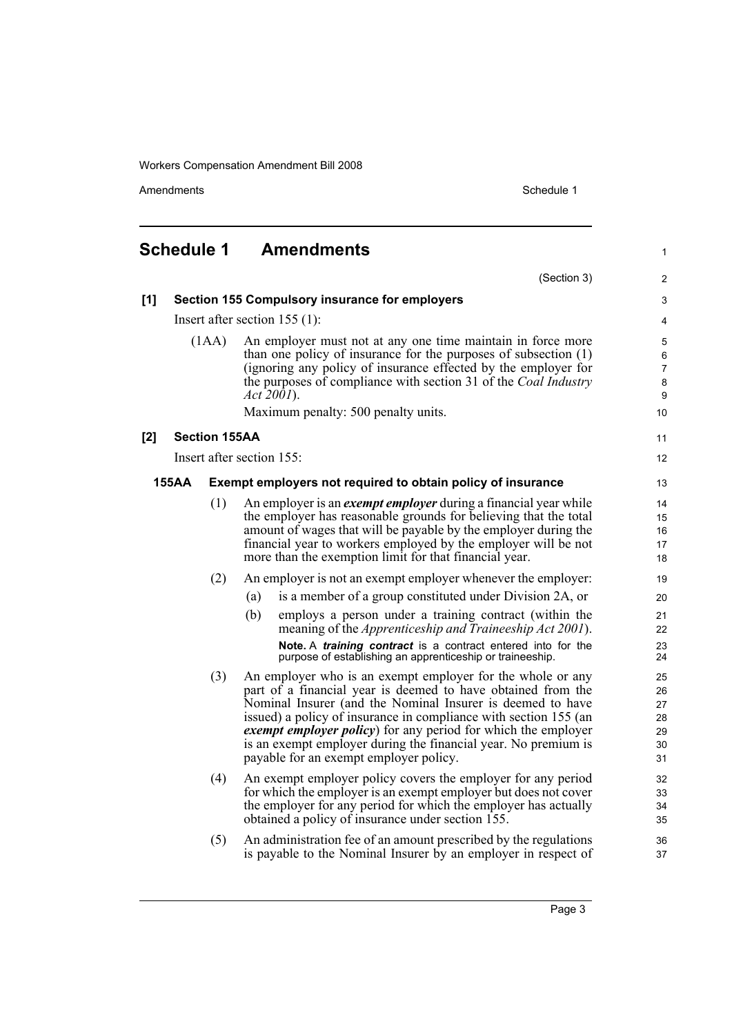Amendments Schedule 1

<span id="page-8-0"></span>

|       | <b>Schedule 1</b>                                        |                                                       | <b>Amendments</b>                                                                                                                                                                                                                                                                                                                                                                                                                         | 1                                      |  |
|-------|----------------------------------------------------------|-------------------------------------------------------|-------------------------------------------------------------------------------------------------------------------------------------------------------------------------------------------------------------------------------------------------------------------------------------------------------------------------------------------------------------------------------------------------------------------------------------------|----------------------------------------|--|
|       |                                                          |                                                       | (Section 3)                                                                                                                                                                                                                                                                                                                                                                                                                               | 2                                      |  |
| [1]   |                                                          | <b>Section 155 Compulsory insurance for employers</b> |                                                                                                                                                                                                                                                                                                                                                                                                                                           |                                        |  |
|       |                                                          |                                                       | Insert after section $155(1)$ :                                                                                                                                                                                                                                                                                                                                                                                                           | 4                                      |  |
| (1AA) |                                                          |                                                       | An employer must not at any one time maintain in force more<br>than one policy of insurance for the purposes of subsection $(1)$<br>(ignoring any policy of insurance effected by the employer for<br>the purposes of compliance with section 31 of the <i>Coal Industry</i><br><i>Act 2001</i> ).<br>Maximum penalty: 500 penalty units.                                                                                                 | 5<br>6<br>7<br>8<br>9<br>10            |  |
|       |                                                          |                                                       |                                                                                                                                                                                                                                                                                                                                                                                                                                           | 11                                     |  |
|       | <b>Section 155AA</b><br>[2]<br>Insert after section 155: |                                                       |                                                                                                                                                                                                                                                                                                                                                                                                                                           |                                        |  |
|       |                                                          |                                                       |                                                                                                                                                                                                                                                                                                                                                                                                                                           | 12                                     |  |
|       | <b>155AA</b>                                             |                                                       | Exempt employers not required to obtain policy of insurance                                                                                                                                                                                                                                                                                                                                                                               | 13                                     |  |
|       |                                                          | (1)                                                   | An employer is an <i>exempt employer</i> during a financial year while<br>the employer has reasonable grounds for believing that the total<br>amount of wages that will be payable by the employer during the<br>financial year to workers employed by the employer will be not<br>more than the exemption limit for that financial year.                                                                                                 | 14<br>15<br>16<br>17<br>18             |  |
|       |                                                          | (2)                                                   | An employer is not an exempt employer whenever the employer:                                                                                                                                                                                                                                                                                                                                                                              | 19                                     |  |
|       |                                                          |                                                       | is a member of a group constituted under Division 2A, or<br>(a)                                                                                                                                                                                                                                                                                                                                                                           | 20                                     |  |
|       |                                                          |                                                       | (b)<br>employs a person under a training contract (within the<br>meaning of the <i>Apprenticeship and Traineeship Act 2001</i> ).                                                                                                                                                                                                                                                                                                         | 21<br>22                               |  |
|       |                                                          |                                                       | Note. A training contract is a contract entered into for the<br>purpose of establishing an apprenticeship or traineeship.                                                                                                                                                                                                                                                                                                                 | 23<br>24                               |  |
|       |                                                          | (3)                                                   | An employer who is an exempt employer for the whole or any<br>part of a financial year is deemed to have obtained from the<br>Nominal Insurer (and the Nominal Insurer is deemed to have<br>issued) a policy of insurance in compliance with section 155 (an<br>exempt employer policy) for any period for which the employer<br>is an exempt employer during the financial year. No premium is<br>payable for an exempt employer policy. | 25<br>26<br>27<br>28<br>29<br>30<br>31 |  |
|       |                                                          | (4)                                                   | An exempt employer policy covers the employer for any period<br>for which the employer is an exempt employer but does not cover<br>the employer for any period for which the employer has actually<br>obtained a policy of insurance under section 155.                                                                                                                                                                                   | 32<br>33<br>34<br>35                   |  |
|       |                                                          | (5)                                                   | An administration fee of an amount prescribed by the regulations<br>is payable to the Nominal Insurer by an employer in respect of                                                                                                                                                                                                                                                                                                        | 36<br>37                               |  |

Page 3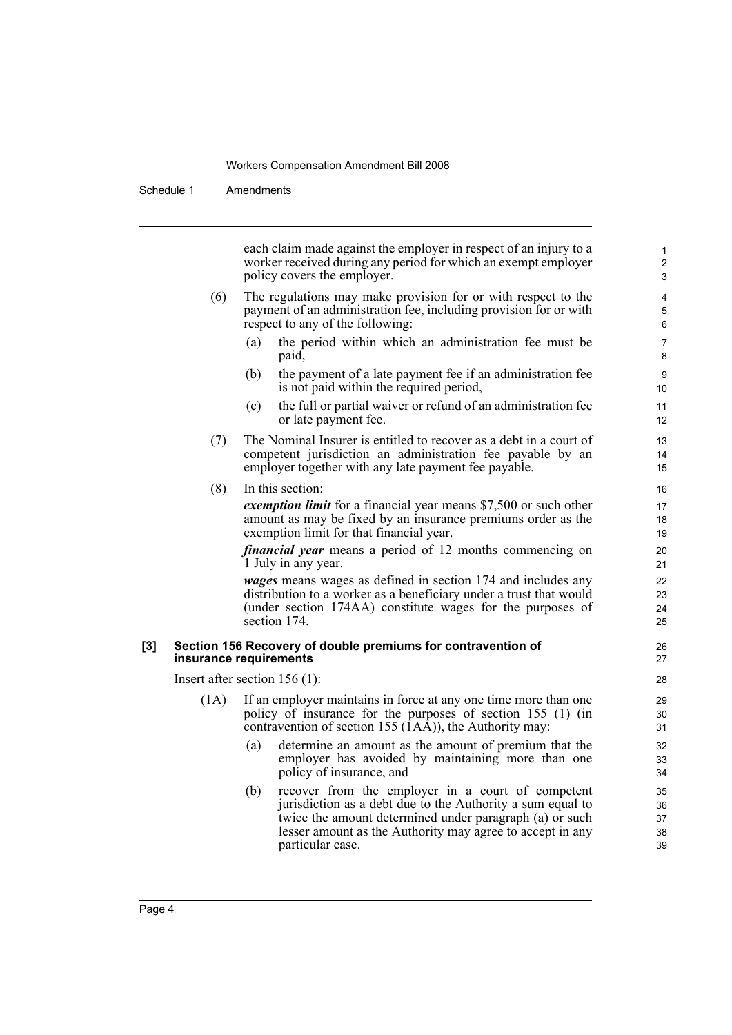particular case.

Schedule 1 Amendments

each claim made against the employer in respect of an injury to a worker received during any period for which an exempt employer policy covers the employer. (6) The regulations may make provision for or with respect to the payment of an administration fee, including provision for or with respect to any of the following: (a) the period within which an administration fee must be paid, (b) the payment of a late payment fee if an administration fee is not paid within the required period, (c) the full or partial waiver or refund of an administration fee or late payment fee. (7) The Nominal Insurer is entitled to recover as a debt in a court of competent jurisdiction an administration fee payable by an employer together with any late payment fee payable. (8) In this section: *exemption limit* for a financial year means \$7,500 or such other amount as may be fixed by an insurance premiums order as the exemption limit for that financial year. *financial year* means a period of 12 months commencing on 1 July in any year. *wages* means wages as defined in section 174 and includes any distribution to a worker as a beneficiary under a trust that would (under section 174AA) constitute wages for the purposes of section 174. **[3] Section 156 Recovery of double premiums for contravention of insurance requirements** Insert after section 156 (1): (1A) If an employer maintains in force at any one time more than one policy of insurance for the purposes of section 155 (1) (in contravention of section 155  $(IA\bar{A})$ , the Authority may: (a) determine an amount as the amount of premium that the employer has avoided by maintaining more than one policy of insurance, and (b) recover from the employer in a court of competent jurisdiction as a debt due to the Authority a sum equal to twice the amount determined under paragraph (a) or such lesser amount as the Authority may agree to accept in any 1  $\overline{2}$ 3 4 5 6 7 8 9 10 11 12 13 14 15 16 17 18 19  $20$ 21  $22$ 23 24 25 26 27 28 29 30 31 32 33 34 35 36 37 38

39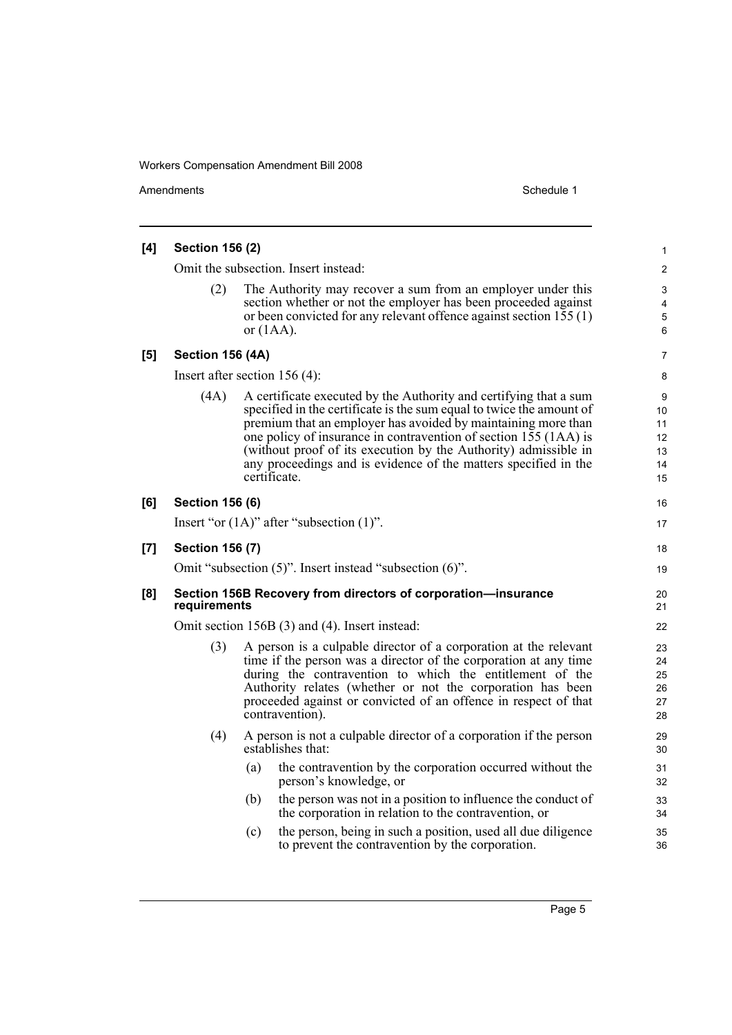Amendments Schedule 1

| [4] | <b>Section 156 (2)</b>                                                        |              |                                                                                                                                                                                                                                                                                                                                                                                                                      | 1                                                  |
|-----|-------------------------------------------------------------------------------|--------------|----------------------------------------------------------------------------------------------------------------------------------------------------------------------------------------------------------------------------------------------------------------------------------------------------------------------------------------------------------------------------------------------------------------------|----------------------------------------------------|
|     | Omit the subsection. Insert instead:                                          |              |                                                                                                                                                                                                                                                                                                                                                                                                                      |                                                    |
|     | (2)                                                                           | or $(1AA)$ . | The Authority may recover a sum from an employer under this<br>section whether or not the employer has been proceeded against<br>or been convicted for any relevant offence against section 155 (1)                                                                                                                                                                                                                  | $\overline{2}$<br>3<br>4<br>5<br>6                 |
| [5] | <b>Section 156 (4A)</b>                                                       |              |                                                                                                                                                                                                                                                                                                                                                                                                                      | 7                                                  |
|     | Insert after section $156(4)$ :                                               |              |                                                                                                                                                                                                                                                                                                                                                                                                                      | 8                                                  |
|     | (4A)                                                                          | certificate. | A certificate executed by the Authority and certifying that a sum<br>specified in the certificate is the sum equal to twice the amount of<br>premium that an employer has avoided by maintaining more than<br>one policy of insurance in contravention of section 155 (1AA) is<br>(without proof of its execution by the Authority) admissible in<br>any proceedings and is evidence of the matters specified in the | 9<br>10 <sup>°</sup><br>11<br>12<br>13<br>14<br>15 |
| [6] | <b>Section 156 (6)</b>                                                        |              |                                                                                                                                                                                                                                                                                                                                                                                                                      | 16                                                 |
|     |                                                                               |              | Insert "or $(1A)$ " after "subsection $(1)$ ".                                                                                                                                                                                                                                                                                                                                                                       | 17                                                 |
| [7] | <b>Section 156 (7)</b>                                                        |              |                                                                                                                                                                                                                                                                                                                                                                                                                      | 18                                                 |
|     |                                                                               |              | Omit "subsection (5)". Insert instead "subsection (6)".                                                                                                                                                                                                                                                                                                                                                              | 19                                                 |
| [8] | Section 156B Recovery from directors of corporation-insurance<br>requirements |              |                                                                                                                                                                                                                                                                                                                                                                                                                      | 20<br>21                                           |
|     | Omit section 156B (3) and (4). Insert instead:                                |              |                                                                                                                                                                                                                                                                                                                                                                                                                      |                                                    |
|     | (3)                                                                           |              | A person is a culpable director of a corporation at the relevant<br>time if the person was a director of the corporation at any time<br>during the contravention to which the entitlement of the<br>Authority relates (whether or not the corporation has been<br>proceeded against or convicted of an offence in respect of that<br>contravention).                                                                 | 23<br>24<br>25<br>26<br>27<br>28                   |
|     | (4)                                                                           |              | A person is not a culpable director of a corporation if the person<br>establishes that:                                                                                                                                                                                                                                                                                                                              | 29<br>30                                           |
|     |                                                                               | (a)          | the contravention by the corporation occurred without the<br>person's knowledge, or                                                                                                                                                                                                                                                                                                                                  | 31<br>32                                           |
|     |                                                                               | (b)          | the person was not in a position to influence the conduct of<br>the corporation in relation to the contravention, or                                                                                                                                                                                                                                                                                                 | 33<br>34                                           |
|     |                                                                               | (c)          | the person, being in such a position, used all due diligence<br>to prevent the contravention by the corporation.                                                                                                                                                                                                                                                                                                     | 35<br>36                                           |

Page 5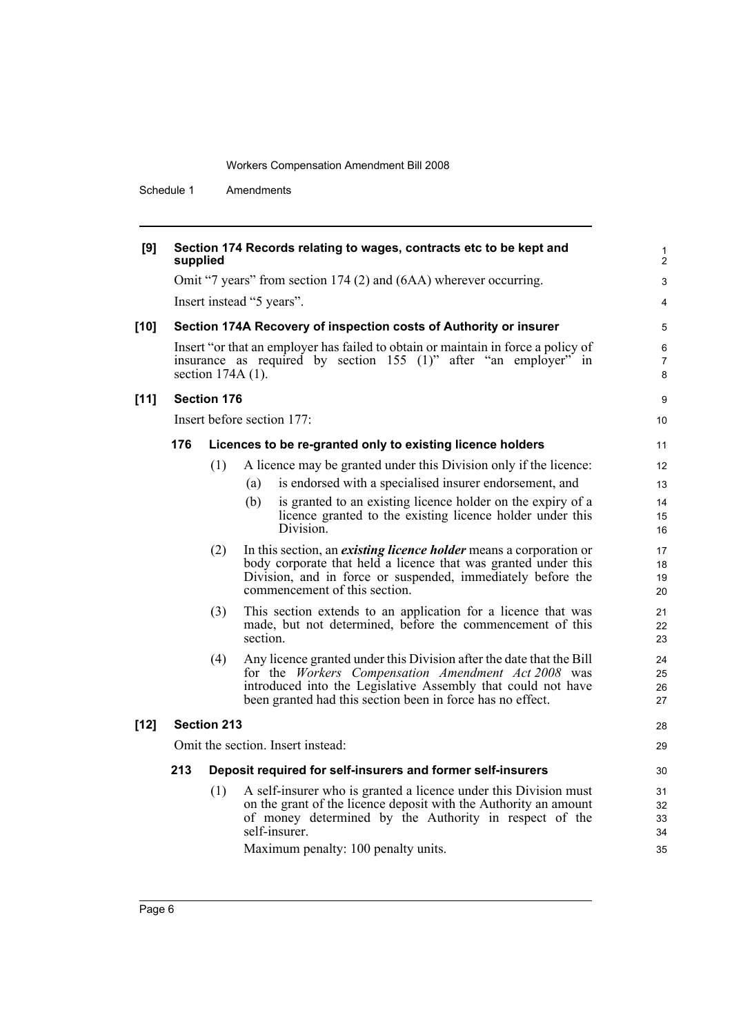Schedule 1 Amendments

| [9]    | Section 174 Records relating to wages, contracts etc to be kept and<br>supplied |                                                                                                                                                                              |                                                                                                                                                                                                                                                           | 1<br>2                     |  |  |  |
|--------|---------------------------------------------------------------------------------|------------------------------------------------------------------------------------------------------------------------------------------------------------------------------|-----------------------------------------------------------------------------------------------------------------------------------------------------------------------------------------------------------------------------------------------------------|----------------------------|--|--|--|
|        |                                                                                 | Omit "7 years" from section 174 (2) and (6AA) wherever occurring.                                                                                                            |                                                                                                                                                                                                                                                           |                            |  |  |  |
|        |                                                                                 | Insert instead "5 years".                                                                                                                                                    |                                                                                                                                                                                                                                                           |                            |  |  |  |
| $[10]$ |                                                                                 |                                                                                                                                                                              | Section 174A Recovery of inspection costs of Authority or insurer                                                                                                                                                                                         | 5                          |  |  |  |
|        |                                                                                 | Insert "or that an employer has failed to obtain or maintain in force a policy of<br>insurance as required by section 155 (1)" after "an employer" in<br>section $174A(1)$ . |                                                                                                                                                                                                                                                           |                            |  |  |  |
| $[11]$ |                                                                                 | <b>Section 176</b>                                                                                                                                                           |                                                                                                                                                                                                                                                           | 9                          |  |  |  |
|        |                                                                                 |                                                                                                                                                                              | Insert before section 177:                                                                                                                                                                                                                                | 10                         |  |  |  |
|        | 176                                                                             |                                                                                                                                                                              | Licences to be re-granted only to existing licence holders                                                                                                                                                                                                | 11                         |  |  |  |
|        |                                                                                 | (1)                                                                                                                                                                          | A licence may be granted under this Division only if the licence:                                                                                                                                                                                         | 12                         |  |  |  |
|        |                                                                                 |                                                                                                                                                                              | is endorsed with a specialised insurer endorsement, and<br>(a)                                                                                                                                                                                            | 13                         |  |  |  |
|        |                                                                                 |                                                                                                                                                                              | (b)<br>is granted to an existing licence holder on the expiry of a<br>licence granted to the existing licence holder under this<br>Division.                                                                                                              | 14<br>15<br>16             |  |  |  |
|        |                                                                                 | (2)                                                                                                                                                                          | In this section, an <i>existing licence holder</i> means a corporation or<br>body corporate that held a licence that was granted under this<br>Division, and in force or suspended, immediately before the<br>commencement of this section.               | 17<br>18<br>19<br>20       |  |  |  |
|        |                                                                                 | (3)                                                                                                                                                                          | This section extends to an application for a licence that was<br>made, but not determined, before the commencement of this<br>section.                                                                                                                    | 21<br>22<br>23             |  |  |  |
|        |                                                                                 | (4)                                                                                                                                                                          | Any licence granted under this Division after the date that the Bill<br>for the Workers Compensation Amendment Act 2008 was<br>introduced into the Legislative Assembly that could not have<br>been granted had this section been in force has no effect. | 24<br>25<br>26<br>27       |  |  |  |
| $[12]$ |                                                                                 | <b>Section 213</b>                                                                                                                                                           |                                                                                                                                                                                                                                                           | 28                         |  |  |  |
|        |                                                                                 |                                                                                                                                                                              | Omit the section. Insert instead:                                                                                                                                                                                                                         | 29                         |  |  |  |
|        | 213                                                                             |                                                                                                                                                                              | Deposit required for self-insurers and former self-insurers                                                                                                                                                                                               | 30                         |  |  |  |
|        |                                                                                 | (1)                                                                                                                                                                          | A self-insurer who is granted a licence under this Division must<br>on the grant of the licence deposit with the Authority an amount<br>of money determined by the Authority in respect of the<br>self-insurer.<br>Maximum penalty: 100 penalty units.    | 31<br>32<br>33<br>34<br>35 |  |  |  |
|        |                                                                                 |                                                                                                                                                                              |                                                                                                                                                                                                                                                           |                            |  |  |  |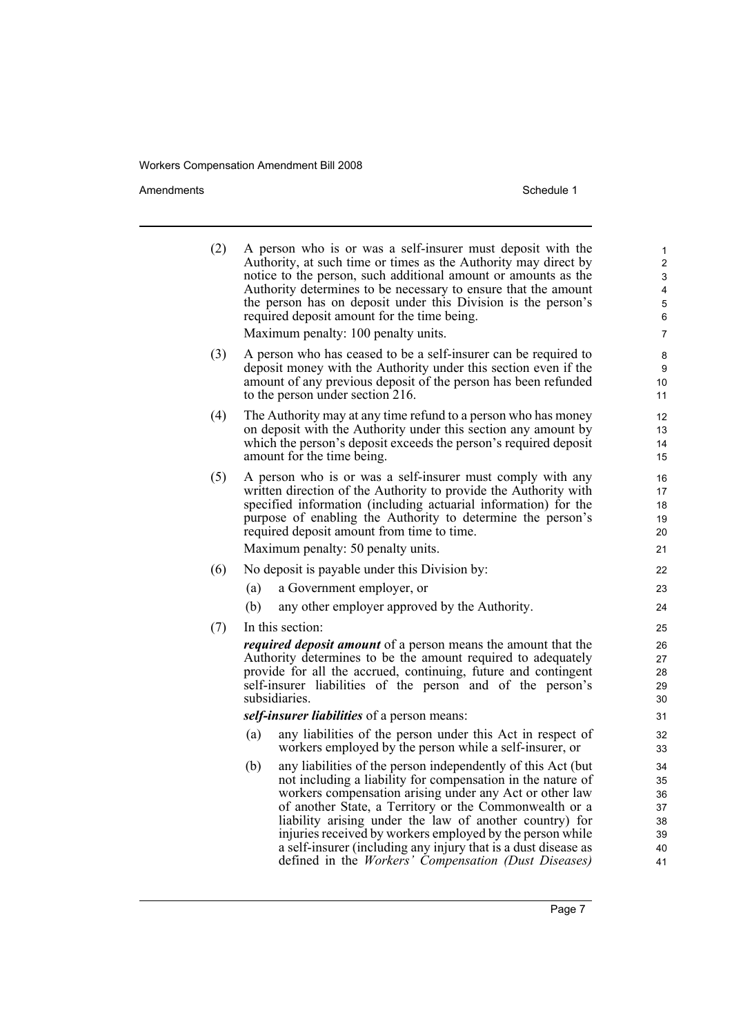Amendments Schedule 1

| (2) | A person who is or was a self-insurer must deposit with the<br>Authority, at such time or times as the Authority may direct by<br>notice to the person, such additional amount or amounts as the<br>Authority determines to be necessary to ensure that the amount<br>the person has on deposit under this Division is the person's<br>required deposit amount for the time being.<br>Maximum penalty: 100 penalty units.                                                                                  | 1<br>2<br>3<br>4<br>5<br>6<br>7              |  |  |  |
|-----|------------------------------------------------------------------------------------------------------------------------------------------------------------------------------------------------------------------------------------------------------------------------------------------------------------------------------------------------------------------------------------------------------------------------------------------------------------------------------------------------------------|----------------------------------------------|--|--|--|
| (3) | A person who has ceased to be a self-insurer can be required to<br>deposit money with the Authority under this section even if the<br>amount of any previous deposit of the person has been refunded<br>to the person under section 216.                                                                                                                                                                                                                                                                   | 8<br>9<br>10<br>11                           |  |  |  |
| (4) | The Authority may at any time refund to a person who has money<br>on deposit with the Authority under this section any amount by<br>which the person's deposit exceeds the person's required deposit<br>amount for the time being.                                                                                                                                                                                                                                                                         | 12<br>13<br>14<br>15                         |  |  |  |
| (5) | A person who is or was a self-insurer must comply with any<br>written direction of the Authority to provide the Authority with<br>specified information (including actuarial information) for the<br>purpose of enabling the Authority to determine the person's<br>required deposit amount from time to time.<br>Maximum penalty: 50 penalty units.                                                                                                                                                       | 16<br>17<br>18<br>19<br>20<br>21             |  |  |  |
|     |                                                                                                                                                                                                                                                                                                                                                                                                                                                                                                            |                                              |  |  |  |
| (6) | No deposit is payable under this Division by:                                                                                                                                                                                                                                                                                                                                                                                                                                                              | 22                                           |  |  |  |
|     | (a)<br>a Government employer, or                                                                                                                                                                                                                                                                                                                                                                                                                                                                           | 23                                           |  |  |  |
|     | (b)<br>any other employer approved by the Authority.                                                                                                                                                                                                                                                                                                                                                                                                                                                       | 24                                           |  |  |  |
| (7) | In this section:                                                                                                                                                                                                                                                                                                                                                                                                                                                                                           | 25                                           |  |  |  |
|     | <i>required deposit amount</i> of a person means the amount that the<br>Authority determines to be the amount required to adequately<br>provide for all the accrued, continuing, future and contingent<br>self-insurer liabilities of the person and of the person's<br>subsidiaries.                                                                                                                                                                                                                      |                                              |  |  |  |
|     | self-insurer liabilities of a person means:                                                                                                                                                                                                                                                                                                                                                                                                                                                                |                                              |  |  |  |
|     | any liabilities of the person under this Act in respect of<br>(a)<br>workers employed by the person while a self-insurer, or                                                                                                                                                                                                                                                                                                                                                                               | 32<br>33                                     |  |  |  |
|     | any liabilities of the person independently of this Act (but)<br>(b)<br>not including a liability for compensation in the nature of<br>workers compensation arising under any Act or other law<br>of another State, a Territory or the Commonwealth or a<br>liability arising under the law of another country) for<br>injuries received by workers employed by the person while<br>a self-insurer (including any injury that is a dust disease as<br>defined in the Workers' Compensation (Dust Diseases) | 34<br>35<br>36<br>37<br>38<br>39<br>40<br>41 |  |  |  |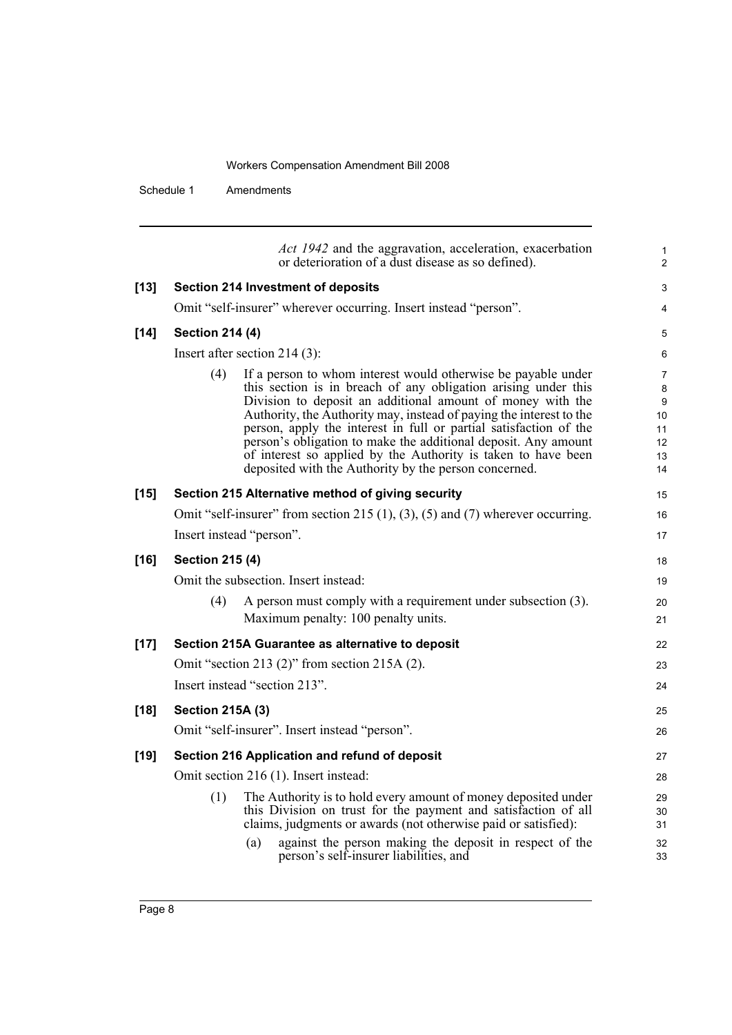Schedule 1 Amendments

|        |                                                                                          | Act 1942 and the aggravation, acceleration, exacerbation<br>or deterioration of a dust disease as so defined).                                                                                                                                                                                                                                                                                                                                                                                                                        | 1<br>$\overline{c}$                       |  |
|--------|------------------------------------------------------------------------------------------|---------------------------------------------------------------------------------------------------------------------------------------------------------------------------------------------------------------------------------------------------------------------------------------------------------------------------------------------------------------------------------------------------------------------------------------------------------------------------------------------------------------------------------------|-------------------------------------------|--|
| $[13]$ | <b>Section 214 Investment of deposits</b>                                                |                                                                                                                                                                                                                                                                                                                                                                                                                                                                                                                                       | 3                                         |  |
|        | Omit "self-insurer" wherever occurring. Insert instead "person".                         |                                                                                                                                                                                                                                                                                                                                                                                                                                                                                                                                       | 4                                         |  |
| $[14]$ | <b>Section 214 (4)</b>                                                                   |                                                                                                                                                                                                                                                                                                                                                                                                                                                                                                                                       | 5                                         |  |
|        | Insert after section 214 $(3)$ :                                                         |                                                                                                                                                                                                                                                                                                                                                                                                                                                                                                                                       | 6                                         |  |
|        | (4)                                                                                      | If a person to whom interest would otherwise be payable under<br>this section is in breach of any obligation arising under this<br>Division to deposit an additional amount of money with the<br>Authority, the Authority may, instead of paying the interest to the<br>person, apply the interest in full or partial satisfaction of the<br>person's obligation to make the additional deposit. Any amount<br>of interest so applied by the Authority is taken to have been<br>deposited with the Authority by the person concerned. | 7<br>8<br>9<br>10<br>11<br>12<br>13<br>14 |  |
| $[15]$ | Section 215 Alternative method of giving security                                        |                                                                                                                                                                                                                                                                                                                                                                                                                                                                                                                                       | 15                                        |  |
|        | Omit "self-insurer" from section 215 $(1)$ , $(3)$ , $(5)$ and $(7)$ wherever occurring. |                                                                                                                                                                                                                                                                                                                                                                                                                                                                                                                                       | 16                                        |  |
|        | Insert instead "person".                                                                 |                                                                                                                                                                                                                                                                                                                                                                                                                                                                                                                                       |                                           |  |
| $[16]$ | <b>Section 215 (4)</b>                                                                   |                                                                                                                                                                                                                                                                                                                                                                                                                                                                                                                                       |                                           |  |
|        | Omit the subsection. Insert instead:                                                     |                                                                                                                                                                                                                                                                                                                                                                                                                                                                                                                                       | 19                                        |  |
|        | (4)<br>Maximum penalty: 100 penalty units.                                               | A person must comply with a requirement under subsection (3).                                                                                                                                                                                                                                                                                                                                                                                                                                                                         | 20<br>21                                  |  |
| $[17]$ | Section 215A Guarantee as alternative to deposit                                         |                                                                                                                                                                                                                                                                                                                                                                                                                                                                                                                                       |                                           |  |
|        | Omit "section 213 $(2)$ " from section 215A $(2)$ .                                      |                                                                                                                                                                                                                                                                                                                                                                                                                                                                                                                                       |                                           |  |
|        | Insert instead "section 213".                                                            |                                                                                                                                                                                                                                                                                                                                                                                                                                                                                                                                       |                                           |  |
| $[18]$ | <b>Section 215A (3)</b>                                                                  |                                                                                                                                                                                                                                                                                                                                                                                                                                                                                                                                       |                                           |  |
|        | Omit "self-insurer". Insert instead "person".                                            |                                                                                                                                                                                                                                                                                                                                                                                                                                                                                                                                       |                                           |  |
| $[19]$ | Section 216 Application and refund of deposit                                            |                                                                                                                                                                                                                                                                                                                                                                                                                                                                                                                                       | 27                                        |  |
|        | Omit section 216 (1). Insert instead:                                                    |                                                                                                                                                                                                                                                                                                                                                                                                                                                                                                                                       |                                           |  |
|        | (1)                                                                                      | The Authority is to hold every amount of money deposited under<br>this Division on trust for the payment and satisfaction of all<br>claims, judgments or awards (not otherwise paid or satisfied):                                                                                                                                                                                                                                                                                                                                    | 29<br>30<br>31                            |  |
|        | (a)<br>person's self-insurer liabilities, and                                            | against the person making the deposit in respect of the                                                                                                                                                                                                                                                                                                                                                                                                                                                                               | 32<br>33                                  |  |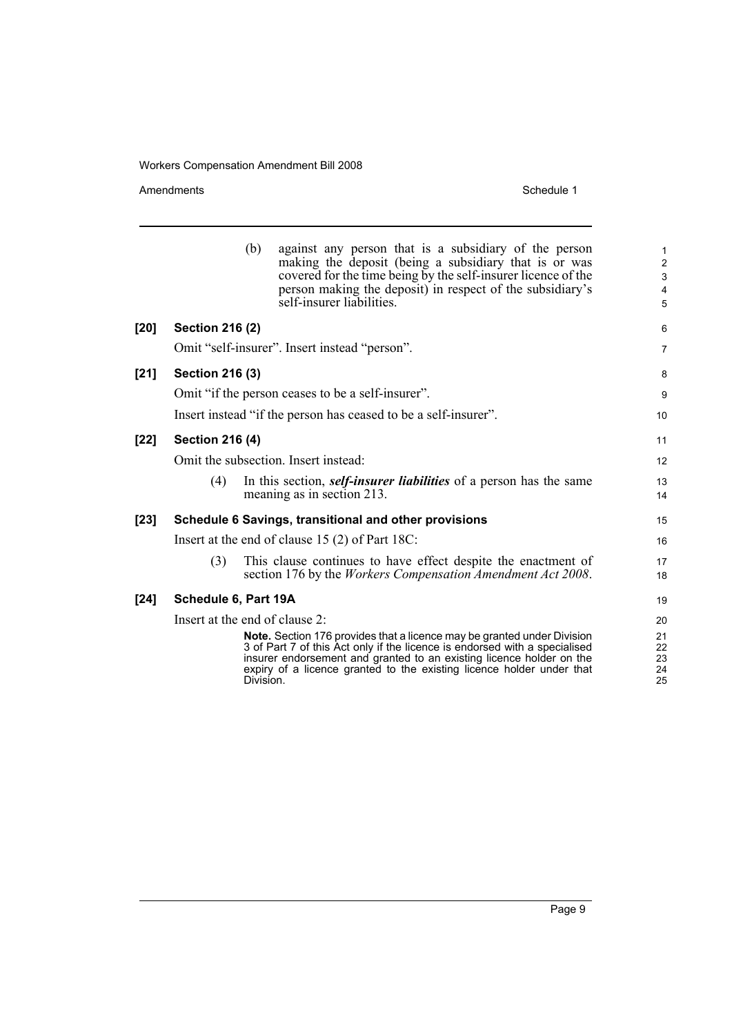Amendments Schedule 1

|        |                                                                 | (b)       | against any person that is a subsidiary of the person<br>making the deposit (being a subsidiary that is or was<br>covered for the time being by the self-insurer licence of the<br>person making the deposit) in respect of the subsidiary's<br>self-insurer liabilities.                                     | $\mathbf{1}$<br>$\boldsymbol{2}$<br>3<br>$\overline{4}$<br>5 |
|--------|-----------------------------------------------------------------|-----------|---------------------------------------------------------------------------------------------------------------------------------------------------------------------------------------------------------------------------------------------------------------------------------------------------------------|--------------------------------------------------------------|
| $[20]$ | <b>Section 216 (2)</b>                                          |           |                                                                                                                                                                                                                                                                                                               | 6                                                            |
|        |                                                                 |           | Omit "self-insurer". Insert instead "person".                                                                                                                                                                                                                                                                 | $\overline{7}$                                               |
| $[21]$ | <b>Section 216 (3)</b>                                          |           |                                                                                                                                                                                                                                                                                                               | 8                                                            |
|        | Omit "if the person ceases to be a self-insurer".               |           |                                                                                                                                                                                                                                                                                                               | 9                                                            |
|        | Insert instead "if the person has ceased to be a self-insurer". |           |                                                                                                                                                                                                                                                                                                               | 10                                                           |
| $[22]$ | <b>Section 216 (4)</b>                                          |           |                                                                                                                                                                                                                                                                                                               | 11                                                           |
|        | Omit the subsection. Insert instead:                            |           |                                                                                                                                                                                                                                                                                                               |                                                              |
|        | (4)                                                             |           | In this section, <i>self-insurer liabilities</i> of a person has the same<br>meaning as in section 213.                                                                                                                                                                                                       | 13<br>14                                                     |
| $[23]$ |                                                                 |           | Schedule 6 Savings, transitional and other provisions                                                                                                                                                                                                                                                         | 15                                                           |
|        | Insert at the end of clause 15 $(2)$ of Part 18C:               |           |                                                                                                                                                                                                                                                                                                               | 16                                                           |
|        | (3)                                                             |           | This clause continues to have effect despite the enactment of<br>section 176 by the <i>Workers Compensation Amendment Act 2008</i> .                                                                                                                                                                          | 17<br>18                                                     |
| $[24]$ | Schedule 6, Part 19A                                            |           |                                                                                                                                                                                                                                                                                                               | 19                                                           |
|        | Insert at the end of clause 2:                                  |           |                                                                                                                                                                                                                                                                                                               |                                                              |
|        |                                                                 | Division. | <b>Note.</b> Section 176 provides that a licence may be granted under Division<br>3 of Part 7 of this Act only if the licence is endorsed with a specialised<br>insurer endorsement and granted to an existing licence holder on the<br>expiry of a licence granted to the existing licence holder under that | 21<br>22<br>23<br>24<br>25                                   |